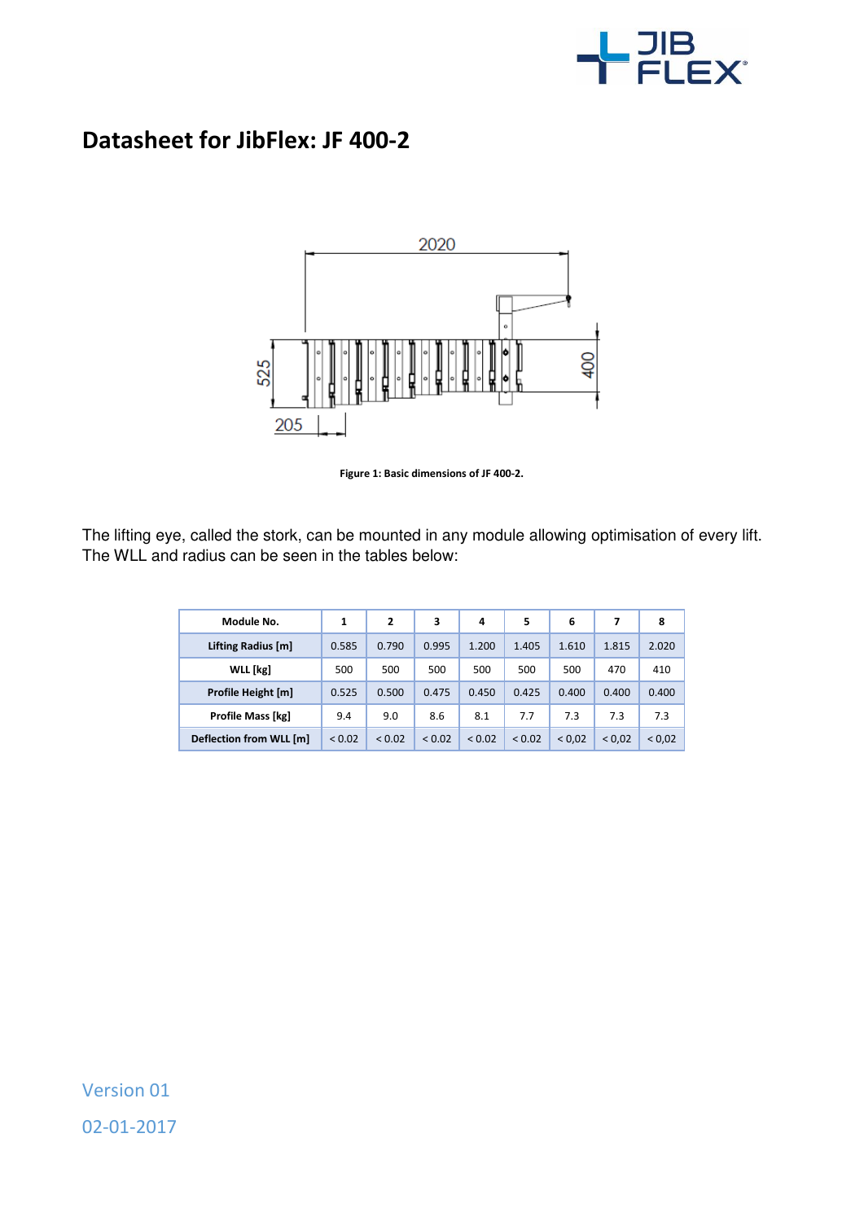

## **Datasheet for JibFlex: JF 400-2**



**Figure 1: Basic dimensions of JF 400-2.** 

The lifting eye, called the stork, can be mounted in any module allowing optimisation of every lift. The WLL and radius can be seen in the tables below:

| Module No.               | 1      | 2      | 3           | 4      | 5      | 6      | 7      | 8      |
|--------------------------|--------|--------|-------------|--------|--------|--------|--------|--------|
| Lifting Radius [m]       | 0.585  | 0.790  | 0.995       | 1.200  | 1.405  | 1.610  | 1.815  | 2.020  |
| <b>WLL</b> [kg]          | 500    | 500    | 500         | 500    | 500    | 500    | 470    | 410    |
| Profile Height [m]       | 0.525  | 0.500  | 0.475       | 0.450  | 0.425  | 0.400  | 0.400  | 0.400  |
| <b>Profile Mass [kg]</b> | 9.4    | 9.0    | 8.6         | 8.1    | 7.7    | 7.3    | 7.3    | 7.3    |
| Deflection from WLL [m]  | < 0.02 | < 0.02 | ${}_{0.02}$ | < 0.02 | < 0.02 | < 0.02 | < 0.02 | < 0.02 |